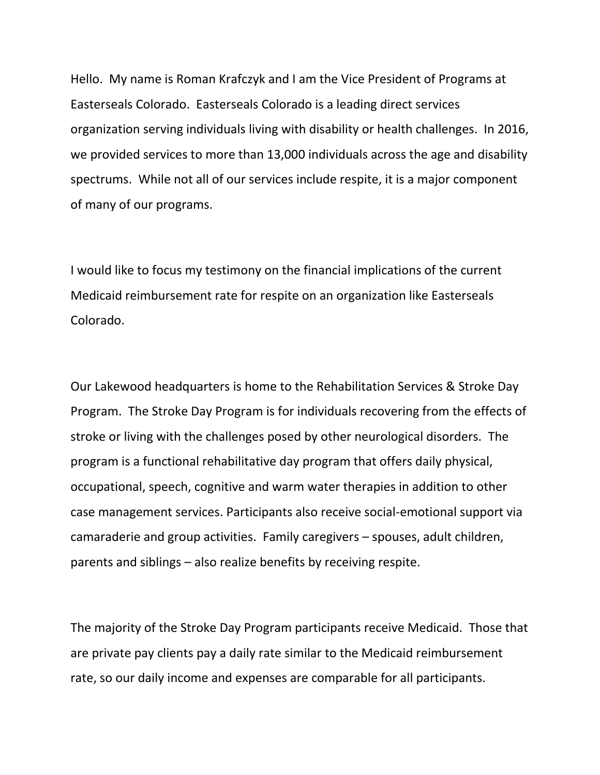Hello. My name is Roman Krafczyk and I am the Vice President of Programs at Easterseals Colorado. Easterseals Colorado is a leading direct services organization serving individuals living with disability or health challenges. In 2016, we provided services to more than 13,000 individuals across the age and disability spectrums. While not all of our services include respite, it is a major component of many of our programs.

I would like to focus my testimony on the financial implications of the current Medicaid reimbursement rate for respite on an organization like Easterseals Colorado.

Our Lakewood headquarters is home to the Rehabilitation Services & Stroke Day Program. The Stroke Day Program is for individuals recovering from the effects of stroke or living with the challenges posed by other neurological disorders. The program is a functional rehabilitative day program that offers daily physical, occupational, speech, cognitive and warm water therapies in addition to other case management services. Participants also receive social-emotional support via camaraderie and group activities. Family caregivers – spouses, adult children, parents and siblings – also realize benefits by receiving respite.

The majority of the Stroke Day Program participants receive Medicaid. Those that are private pay clients pay a daily rate similar to the Medicaid reimbursement rate, so our daily income and expenses are comparable for all participants.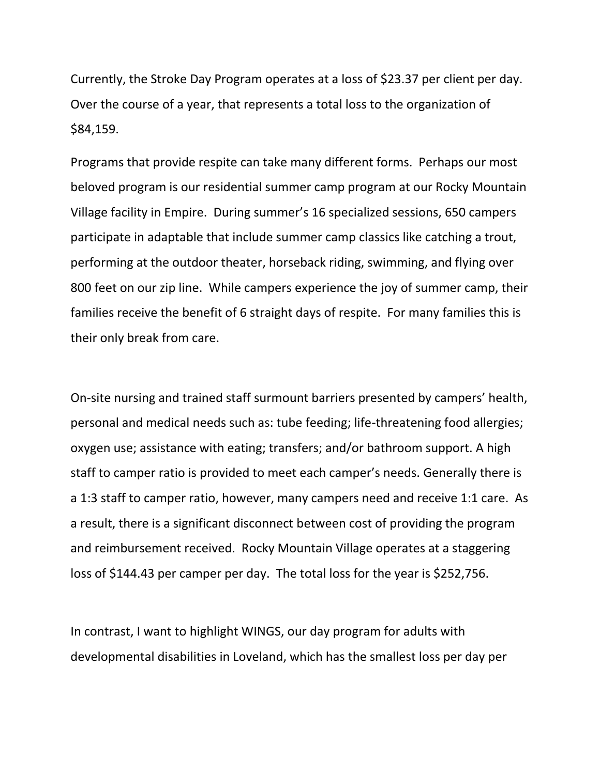Currently, the Stroke Day Program operates at a loss of \$23.37 per client per day. Over the course of a year, that represents a total loss to the organization of \$84,159.

Programs that provide respite can take many different forms. Perhaps our most beloved program is our residential summer camp program at our Rocky Mountain Village facility in Empire. During summer's 16 specialized sessions, 650 campers participate in adaptable that include summer camp classics like catching a trout, performing at the outdoor theater, horseback riding, swimming, and flying over 800 feet on our zip line. While campers experience the joy of summer camp, their families receive the benefit of 6 straight days of respite. For many families this is their only break from care.

On-site nursing and trained staff surmount barriers presented by campers' health, personal and medical needs such as: tube feeding; life-threatening food allergies; oxygen use; assistance with eating; transfers; and/or bathroom support. A high staff to camper ratio is provided to meet each camper's needs. Generally there is a 1:3 staff to camper ratio, however, many campers need and receive 1:1 care. As a result, there is a significant disconnect between cost of providing the program and reimbursement received. Rocky Mountain Village operates at a staggering loss of \$144.43 per camper per day. The total loss for the year is \$252,756.

In contrast, I want to highlight WINGS, our day program for adults with developmental disabilities in Loveland, which has the smallest loss per day per